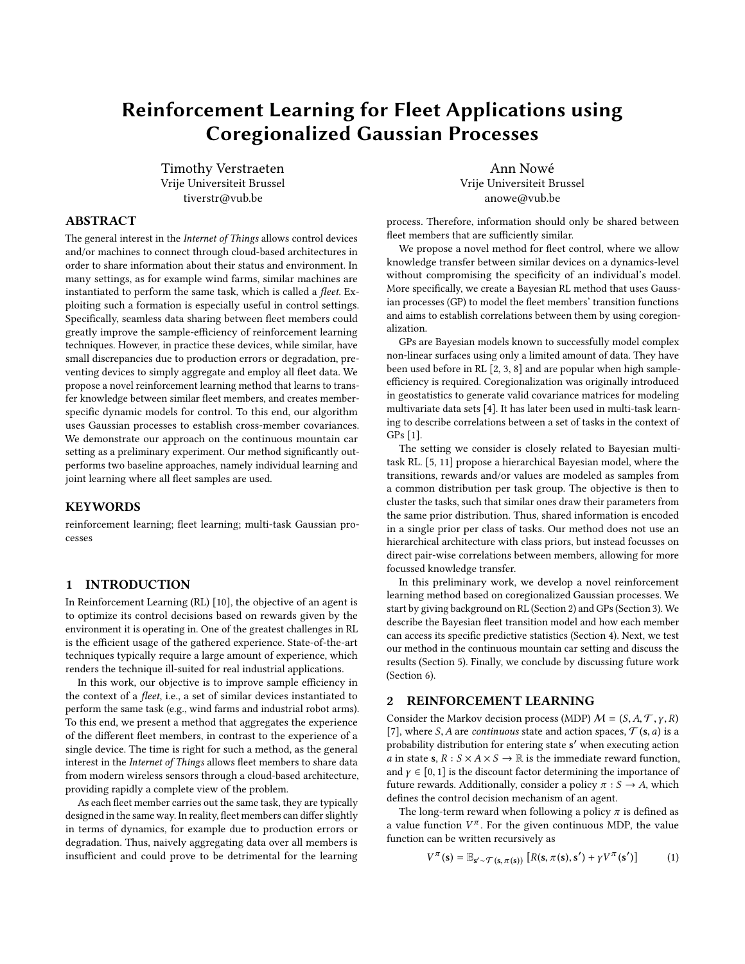# Reinforcement Learning for Fleet Applications using Coregionalized Gaussian Processes

Timothy Verstraeten Vrije Universiteit Brussel tiverstr@vub.be

## Ann Nowé Vrije Universiteit Brussel anowe@vub.be

# ABSTRACT

The general interest in the Internet of Things allows control devices and/or machines to connect through cloud-based architectures in order to share information about their status and environment. In many settings, as for example wind farms, similar machines are instantiated to perform the same task, which is called a fleet. Exploiting such a formation is especially useful in control settings. Specifically, seamless data sharing between fleet members could greatly improve the sample-efficiency of reinforcement learning techniques. However, in practice these devices, while similar, have small discrepancies due to production errors or degradation, preventing devices to simply aggregate and employ all fleet data. We propose a novel reinforcement learning method that learns to transfer knowledge between similar fleet members, and creates memberspecific dynamic models for control. To this end, our algorithm uses Gaussian processes to establish cross-member covariances. We demonstrate our approach on the continuous mountain car setting as a preliminary experiment. Our method significantly outperforms two baseline approaches, namely individual learning and joint learning where all fleet samples are used.

### **KEYWORDS**

reinforcement learning; fleet learning; multi-task Gaussian processes

## 1 INTRODUCTION

In Reinforcement Learning (RL) [\[10\]](#page-3-0), the objective of an agent is to optimize its control decisions based on rewards given by the environment it is operating in. One of the greatest challenges in RL is the efficient usage of the gathered experience. State-of-the-art techniques typically require a large amount of experience, which renders the technique ill-suited for real industrial applications.

In this work, our objective is to improve sample efficiency in the context of a fleet, i.e., a set of similar devices instantiated to perform the same task (e.g., wind farms and industrial robot arms). To this end, we present a method that aggregates the experience of the different fleet members, in contrast to the experience of a single device. The time is right for such a method, as the general interest in the Internet of Things allows fleet members to share data from modern wireless sensors through a cloud-based architecture, providing rapidly a complete view of the problem.

As each fleet member carries out the same task, they are typically designed in the same way. In reality, fleet members can differ slightly in terms of dynamics, for example due to production errors or degradation. Thus, naively aggregating data over all members is insufficient and could prove to be detrimental for the learning process. Therefore, information should only be shared between fleet members that are sufficiently similar.

We propose a novel method for fleet control, where we allow knowledge transfer between similar devices on a dynamics-level without compromising the specificity of an individual's model. More specifically, we create a Bayesian RL method that uses Gaussian processes (GP) to model the fleet members' transition functions and aims to establish correlations between them by using coregionalization.

GPs are Bayesian models known to successfully model complex non-linear surfaces using only a limited amount of data. They have been used before in RL [\[2,](#page-3-1) [3,](#page-3-2) [8\]](#page-3-3) and are popular when high sampleefficiency is required. Coregionalization was originally introduced in geostatistics to generate valid covariance matrices for modeling multivariate data sets [\[4\]](#page-3-4). It has later been used in multi-task learning to describe correlations between a set of tasks in the context of GPs [\[1\]](#page-3-5).

The setting we consider is closely related to Bayesian multitask RL. [\[5,](#page-3-6) [11\]](#page-3-7) propose a hierarchical Bayesian model, where the transitions, rewards and/or values are modeled as samples from a common distribution per task group. The objective is then to cluster the tasks, such that similar ones draw their parameters from the same prior distribution. Thus, shared information is encoded in a single prior per class of tasks. Our method does not use an hierarchical architecture with class priors, but instead focusses on direct pair-wise correlations between members, allowing for more focussed knowledge transfer.

In this preliminary work, we develop a novel reinforcement learning method based on coregionalized Gaussian processes. We start by giving background on RL (Section [2\)](#page-0-0) and GPs (Section [3\)](#page-1-0). We describe the Bayesian fleet transition model and how each member can access its specific predictive statistics (Section [4\)](#page-1-1). Next, we test our method in the continuous mountain car setting and discuss the results (Section [5\)](#page-1-2). Finally, we conclude by discussing future work (Section [6\)](#page-3-8).

#### <span id="page-0-0"></span>2 REINFORCEMENT LEARNING

Consider the Markov decision process (MDP)  $M = (S, A, T, \gamma, R)$ [\[7\]](#page-3-9), where S, A are continuous state and action spaces,  $\mathcal{T}(s, a)$  is a probability distribution for entering state s ′ when executing action *a* in state **s**,  $R : S \times A \times S \rightarrow \mathbb{R}$  is the immediate reward function, and  $\gamma \in [0, 1]$  is the discount factor determining the importance of future rewards. Additionally, consider a policy  $\pi : S \to A$ , which defines the control decision mechanism of an agent.

The long-term reward when following a policy  $\pi$  is defined as a value function  $V^{\pi}$ . For the given continuous MDP, the value function can be written required v as function can be written recursively as

$$
V^{\pi}(\mathbf{s}) = \mathbb{E}_{\mathbf{s}' \sim \mathcal{T}(\mathbf{s}, \pi(\mathbf{s}))} \left[ R(\mathbf{s}, \pi(\mathbf{s}), \mathbf{s}') + \gamma V^{\pi}(\mathbf{s}') \right] \tag{1}
$$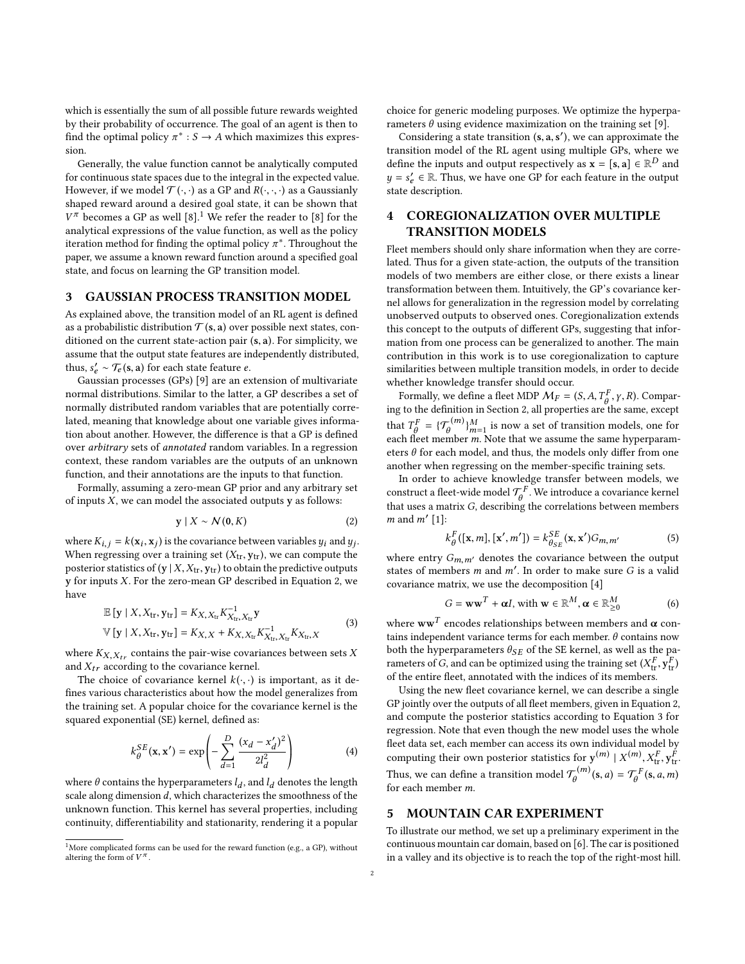which is essentially the sum of all possible future rewards weighted by their probability of occurrence. The goal of an agent is then to find the optimal policy  $\pi^* : S \to A$  which maximizes this expression.

Generally, the value function cannot be analytically computed for continuous state spaces due to the integral in the expected value. However, if we model  $\mathcal{T}(\cdot, \cdot)$  as a GP and  $R(\cdot, \cdot, \cdot)$  as a Gaussianly shaped reward around a desired goal state, it can be shown that analytical expressions of the value function, as well as the policy  $V^{\pi}$  becomes a GP as well [\[8\]](#page-3-3).<sup>[1](#page-1-3)</sup> We refer the reader to [8] for the iteration method for finding the optimal policy  $\pi^*$ . Throughout the paper we assume a known reward function around a specified goal paper, we assume a known reward function around a specified goal state, and focus on learning the GP transition model.

## <span id="page-1-0"></span>3 GAUSSIAN PROCESS TRANSITION MODEL

As explained above, the transition model of an RL agent is defined as a probabilistic distribution  $\mathcal{T}(\mathbf{s}, \mathbf{a})$  over possible next states, conditioned on the current state-action pair (s, <sup>a</sup>). For simplicity, we assume that the output state features are independently distributed, thus,  $s'_e \sim \mathcal{T}_e(\mathbf{s}, \mathbf{a})$  for each state feature  $e$ .<br>Coussian processes (CPs) [0] are an ex-

Gaussian processes (GPs) [\[9\]](#page-3-10) are an extension of multivariate normal distributions. Similar to the latter, a GP describes a set of normally distributed random variables that are potentially correlated, meaning that knowledge about one variable gives information about another. However, the difference is that a GP is defined over arbitrary sets of annotated random variables. In a regression context, these random variables are the outputs of an unknown function, and their annotations are the inputs to that function.

Formally, assuming a zero-mean GP prior and any arbitrary set of inputs  $X$ , we can model the associated outputs  $y$  as follows:

<span id="page-1-4"></span>
$$
\mathbf{y} \mid X \sim \mathcal{N}(\mathbf{0}, K) \tag{2}
$$

where  $K_{i,j} = k(\mathbf{x}_i, \mathbf{x}_j)$  is the covariance between variables  $y_i$  and  $y_j$ .<br>When regressing over a training set  $(Y_i, \mathbf{y}_i)$ , we can compute the When regressing over a training set  $(X<sub>tr</sub>, y<sub>tr</sub>)$ , we can compute the posterior statistics of  $(y | X, X_{tr}, y_{tr})$  to obtain the predictive outputs <sup>y</sup> for inputs X. For the zero-mean GP described in Equation [2,](#page-1-4) we have

$$
\mathbb{E} [y | X, X_{tr}, y_{tr}] = K_{X, X_{tr}} K_{X_{tr}, X_{tr}}^{-1} y
$$
  
 
$$
\mathbb{V} [y | X, X_{tr}, y_{tr}] = K_{X, X} + K_{X, X_{tr}} K_{X_{tr}, X_{tr}}^{-1} K_{X_{tr}, X}
$$
(3)

<span id="page-1-5"></span>where  $K_{X,X_{tr}}$  contains the pair-wise covariances between sets X and  $X_{tr}$  according to the covariance kernel.

The choice of covariance kernel  $k(\cdot, \cdot)$  is important, as it defines various characteristics about how the model generalizes from the training set. A popular choice for the covariance kernel is the squared exponential (SE) kernel, defined as:

<span id="page-1-6"></span>
$$
k_{\theta}^{SE}(\mathbf{x}, \mathbf{x}') = \exp\left(-\sum_{d=1}^{D} \frac{(x_d - x'_d)^2}{2l_d^2}\right) \tag{4}
$$

where  $\theta$  contains the hyperparameters  $l_d$ , and  $l_d$  denotes the length<br>scale along dimension d, which characterizes the smoothness of the scale along dimension d, which characterizes the smoothness of the unknown function. This kernel has several properties, including continuity, differentiability and stationarity, rendering it a popular choice for generic modeling purposes. We optimize the hyperparameters  $\theta$  using evidence maximization on the training set [\[9\]](#page-3-10).

Considering a state transition  $(s, a, s')$ , we can approximate the prition model of the  $\overline{BI}$  agent using multiple  $\overline{CP}$  where we transition model of the RL agent using multiple GPs, where we define the inputs and output respectively as  $\mathbf{x} = [\mathbf{s}, \mathbf{a}] \in \mathbb{R}^D$  and  $u = s' \in \mathbb{R}$ . Thus we have one GP for each feature in the output  $y = s'_e \in \mathbb{R}$ . Thus, we have one GP for each feature in the output state description.

# <span id="page-1-1"></span>4 COREGIONALIZATION OVER MULTIPLE TRANSITION MODELS

Fleet members should only share information when they are correlated. Thus for a given state-action, the outputs of the transition models of two members are either close, or there exists a linear transformation between them. Intuitively, the GP's covariance kernel allows for generalization in the regression model by correlating unobserved outputs to observed ones. Coregionalization extends this concept to the outputs of different GPs, suggesting that information from one process can be generalized to another. The main contribution in this work is to use coregionalization to capture similarities between multiple transition models, in order to decide whether knowledge transfer should occur.

Formally, we define a fleet MDP  $M_F = (S, A, T^F_\theta, \gamma, R)$ . Compar-<br>the definition in Section 2, all properties are the same except. ing to the definition in Section [2,](#page-0-0) all properties are the same, except that  $T_f^F = {T_f^{(m)}}_{\text{part}}^M$  is now a set of transition models, one for each fleet member m. Note that we assume the same hyperparameters  $\theta$  for each model, and thus, the models only differ from one another when regressing on the member-specific training sets.

In order to achieve knowledge transfer between models, we construct a fleet-wide model  $\mathcal{T}_{\theta}^{F}$ . We introduce a covariance kernel that uses a matrix  $G$ , describing the correlations between members  $m$  and  $m'$  [\[1\]](#page-3-5):

<span id="page-1-7"></span>
$$
k_{\theta}^{F}([\mathbf{x}, m], [\mathbf{x}', m']) = k_{\theta_{SE}}^{SE}(\mathbf{x}, \mathbf{x}') G_{m, m'}
$$
 (5)

where entry  $G_{m,m'}$  denotes the covariance between the output<br>states of members m and m'. In order to make sure G is a valid states of members m and m'. In order to make sure G is a valid covariance matrix we use the decomposition  $[4]$ covariance matrix, we use the decomposition [\[4\]](#page-3-4)

<span id="page-1-8"></span>
$$
G = \mathbf{w}\mathbf{w}^T + \alpha I, \text{ with } \mathbf{w} \in \mathbb{R}^M, \alpha \in \mathbb{R}^M_{\geq 0}
$$
 (6)

where  $\mathbf{w}\mathbf{w}^T$  encodes relationships between members and  $\boldsymbol{\alpha}$  contains independent variance terms for each member.  $\theta$  contains now both the hyperparameters  $\theta_{SE}$  of the SE kernel, as well as the parameters of G, and can be optimized using the training set  $(X_{\text{tr}}^F, y_{\text{tr}}^F)$ <br>of the entire fleet, annotated with the indices of its members of the entire fleet, annotated with the indices of its members.

Using the new fleet covariance kernel, we can describe a single GP jointly over the outputs of all fleet members, given in Equation [2,](#page-1-4) and compute the posterior statistics according to Equation [3](#page-1-5) for regression. Note that even though the new model uses the whole fleet data set, each member can access its own individual model by computing their own posterior statistics for  $\mathbf{y}^{(m)} \mid X^{(m)}, X_{\text{tr}}^F, \mathbf{y}_{\text{tr}}^F$ . Thus, we can define a transition model  $\mathcal{T}_a^{(m)}(\mathbf{s}, a) = \mathcal{T}_a^F(\mathbf{s})$  $\mathcal{L}_{\theta}^{(m)}(\mathbf{s}, a) = \mathcal{T}_{\theta}^{F}(\mathbf{s}, a, m)$ for each member m.

#### <span id="page-1-2"></span>5 MOUNTAIN CAR EXPERIMENT

To illustrate our method, we set up a preliminary experiment in the continuous mountain car domain, based on [\[6\]](#page-3-11). The car is positioned in a valley and its objective is to reach the top of the right-most hill.

<span id="page-1-3"></span><sup>&</sup>lt;sup>1</sup>More complicated forms can be used for the reward function (e.g., a GP), without altering the form of  $V^{\pi}$ .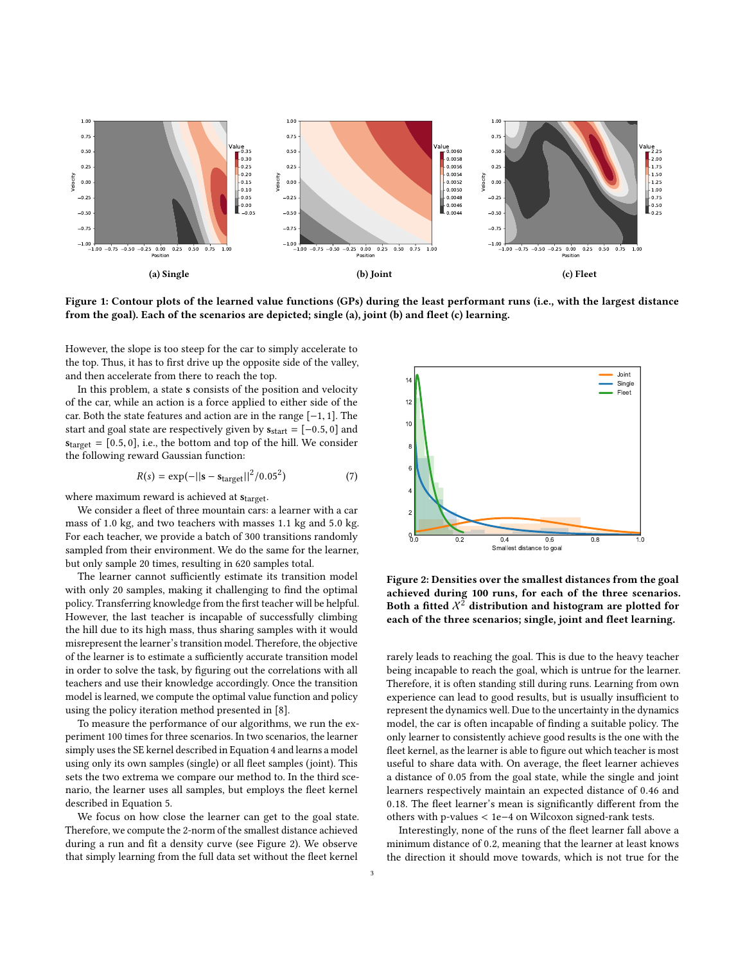<span id="page-2-1"></span>

Figure 1: Contour plots of the learned value functions (GPs) during the least performant runs (i.e., with the largest distance from the goal). Each of the scenarios are depicted; single (a), joint (b) and fleet (c) learning.

However, the slope is too steep for the car to simply accelerate to the top. Thus, it has to first drive up the opposite side of the valley, and then accelerate from there to reach the top.

In this problem, a state s consists of the position and velocity of the car, while an action is a force applied to either side of the car. Both the state features and action are in the range [−1, 1]. The start and goal state are respectively given by  $s_{start} = [-0.5, 0]$  and  $s<sub>target</sub> = [0.5, 0]$ , i.e., the bottom and top of the hill. We consider the following reward Gaussian function:

$$
R(s) = \exp(-||s - s_{\text{target}}||^2/0.05^2)
$$
 (7)

where maximum reward is achieved at  $s_{\text{target}}$ .

We consider a fleet of three mountain cars: a learner with a car mass of <sup>1</sup>.<sup>0</sup> kg, and two teachers with masses <sup>1</sup>.<sup>1</sup> kg and <sup>5</sup>.<sup>0</sup> kg. For each teacher, we provide a batch of 300 transitions randomly sampled from their environment. We do the same for the learner, but only sample 20 times, resulting in 620 samples total.

The learner cannot sufficiently estimate its transition model with only 20 samples, making it challenging to find the optimal policy. Transferring knowledge from the first teacher will be helpful. However, the last teacher is incapable of successfully climbing the hill due to its high mass, thus sharing samples with it would misrepresent the learner's transition model. Therefore, the objective of the learner is to estimate a sufficiently accurate transition model in order to solve the task, by figuring out the correlations with all teachers and use their knowledge accordingly. Once the transition model is learned, we compute the optimal value function and policy using the policy iteration method presented in [\[8\]](#page-3-3).

To measure the performance of our algorithms, we run the experiment 100 times for three scenarios. In two scenarios, the learner simply uses the SE kernel described in Equation [4](#page-1-6) and learns a model using only its own samples (single) or all fleet samples (joint). This sets the two extrema we compare our method to. In the third scenario, the learner uses all samples, but employs the fleet kernel described in Equation [5.](#page-1-7)

We focus on how close the learner can get to the goal state. Therefore, we compute the 2-norm of the smallest distance achieved during a run and fit a density curve (see Figure [2\)](#page-2-0). We observe that simply learning from the full data set without the fleet kernel

<span id="page-2-0"></span>

Figure 2: Densities over the smallest distances from the goal achieved during 100 runs, for each of the three scenarios. Both a fitted  $X^2$  distribution and histogram are plotted for each of the three scenarios; single, joint and fleet learning.

rarely leads to reaching the goal. This is due to the heavy teacher being incapable to reach the goal, which is untrue for the learner. Therefore, it is often standing still during runs. Learning from own experience can lead to good results, but is usually insufficient to represent the dynamics well. Due to the uncertainty in the dynamics model, the car is often incapable of finding a suitable policy. The only learner to consistently achieve good results is the one with the fleet kernel, as the learner is able to figure out which teacher is most useful to share data with. On average, the fleet learner achieves a distance of <sup>0</sup>.<sup>05</sup> from the goal state, while the single and joint learners respectively maintain an expected distance of <sup>0</sup>.<sup>46</sup> and <sup>0</sup>.18. The fleet learner's mean is significantly different from the others with p-values < 1e−<sup>4</sup> on Wilcoxon signed-rank tests.

Interestingly, none of the runs of the fleet learner fall above a minimum distance of <sup>0</sup>.2, meaning that the learner at least knows the direction it should move towards, which is not true for the